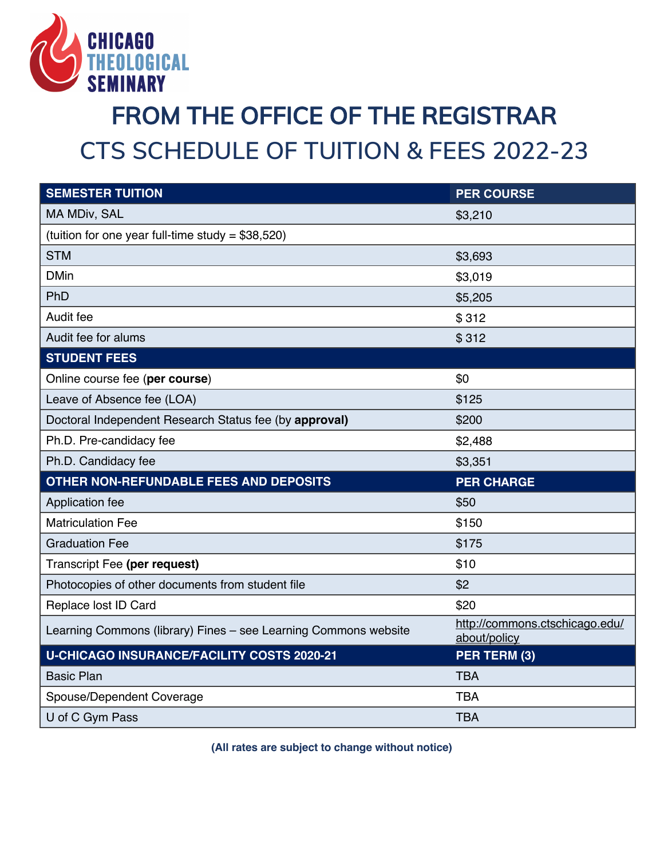

## **FROM THE OFFICE OF THE REGISTRAR CTS SCHEDULE OF TUITION & FEES 2022-23**

| <b>SEMESTER TUITION</b>                                         | <b>PER COURSE</b>                              |
|-----------------------------------------------------------------|------------------------------------------------|
| MA MDiv, SAL                                                    | \$3,210                                        |
| (tuition for one year full-time study = $$38,520$ )             |                                                |
| <b>STM</b>                                                      | \$3,693                                        |
| <b>DMin</b>                                                     | \$3,019                                        |
| PhD                                                             | \$5,205                                        |
| Audit fee                                                       | \$312                                          |
| Audit fee for alums                                             | \$312                                          |
| <b>STUDENT FEES</b>                                             |                                                |
| Online course fee (per course)                                  | \$0                                            |
| Leave of Absence fee (LOA)                                      | \$125                                          |
| Doctoral Independent Research Status fee (by approval)          | \$200                                          |
| Ph.D. Pre-candidacy fee                                         | \$2,488                                        |
| Ph.D. Candidacy fee                                             | \$3,351                                        |
| OTHER NON-REFUNDABLE FEES AND DEPOSITS                          | <b>PER CHARGE</b>                              |
| Application fee                                                 | \$50                                           |
| <b>Matriculation Fee</b>                                        | \$150                                          |
| <b>Graduation Fee</b>                                           | \$175                                          |
| Transcript Fee (per request)                                    | \$10                                           |
| Photocopies of other documents from student file                | \$2                                            |
| Replace lost ID Card                                            | \$20                                           |
| Learning Commons (library) Fines - see Learning Commons website | http://commons.ctschicago.edu/<br>about/policy |
| <b>U-CHICAGO INSURANCE/FACILITY COSTS 2020-21</b>               | PER TERM (3)                                   |
| <b>Basic Plan</b>                                               | <b>TBA</b>                                     |
| Spouse/Dependent Coverage                                       | <b>TBA</b>                                     |
| U of C Gym Pass                                                 | <b>TBA</b>                                     |

**(All rates are subject to change without notice)**